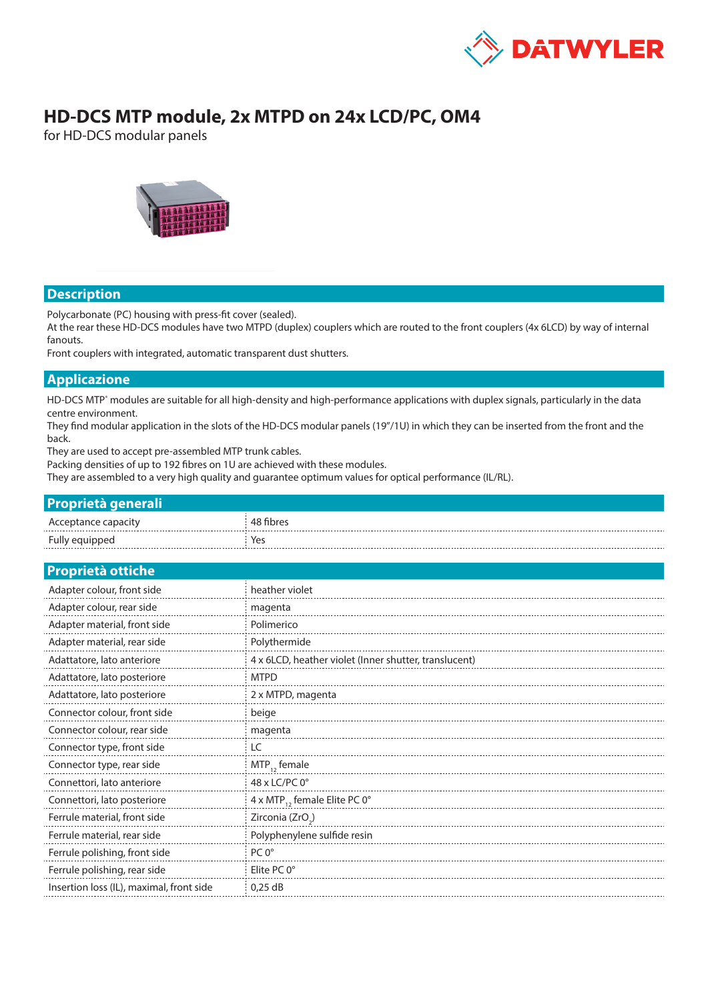

# **HD-DCS MTP module, 2x MTPD on 24x LCD/PC, OM4**

for HD-DCS modular panels



#### **Description**

Polycarbonate (PC) housing with press-fit cover (sealed).

At the rear these HD-DCS modules have two MTPD (duplex) couplers which are routed to the front couplers (4x 6LCD) by way of internal fanouts.

Front couplers with integrated, automatic transparent dust shutters.

#### **Applicazione**

HD-DCS MTP<sup>®</sup> modules are suitable for all high-density and high-performance applications with duplex signals, particularly in the data centre environment.

They find modular application in the slots of the HD-DCS modular panels (19"/1U) in which they can be inserted from the front and the back.

They are used to accept pre-assembled MTP trunk cables.

Packing densities of up to 192 fibres on 1U are achieved with these modules.

They are assembled to a very high quality and guarantee optimum values for optical performance (IL/RL).

| <b>Proprietà generali</b> |           |
|---------------------------|-----------|
| Acceptance capacity       | 48 fibres |
| Fully equipped            | Yes       |

| Proprietà ottiche |  |  |  |
|-------------------|--|--|--|
|                   |  |  |  |

| Adapter colour, front side               | heather violet                                        |
|------------------------------------------|-------------------------------------------------------|
| Adapter colour, rear side                | magenta                                               |
| Adapter material, front side             | Polimerico                                            |
| Adapter material, rear side              | Polythermide                                          |
| Adattatore, lato anteriore               | 4 x 6LCD, heather violet (Inner shutter, translucent) |
| Adattatore, lato posteriore              | <b>MTPD</b>                                           |
| Adattatore, lato posteriore              | 2 x MTPD, magenta                                     |
| Connector colour, front side             | beige                                                 |
| Connector colour, rear side              | magenta                                               |
| Connector type, front side               | LC                                                    |
| Connector type, rear side                | $MTP_{12}$ female                                     |
| Connettori, lato anteriore               | 48 x LC/PC 0°                                         |
| Connettori, lato posteriore              | 4 x MTP <sub>12</sub> female Elite PC 0°              |
| Ferrule material, front side             | Zirconia (ZrO <sub>2</sub> )                          |
| Ferrule material, rear side              | Polyphenylene sulfide resin                           |
| Ferrule polishing, front side            | $PC 0^{\circ}$                                        |
| Ferrule polishing, rear side             | Elite $PC 0^{\circ}$                                  |
| Insertion loss (IL), maximal, front side | $0.25$ dB                                             |